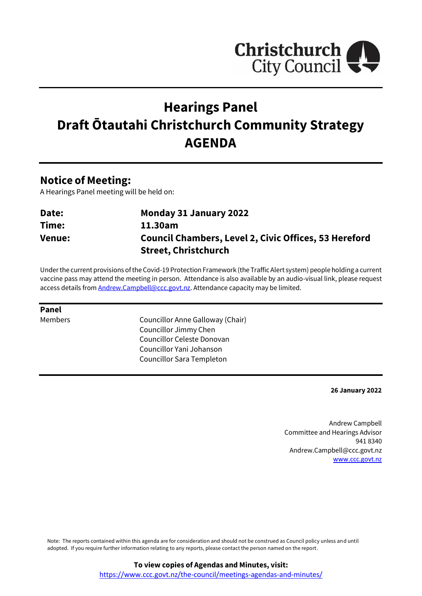

# **Hearings Panel Draft Ōtautahi Christchurch Community Strategy AGENDA**

# **Notice of Meeting:**

A Hearings Panel meeting will be held on:

| Date:         | <b>Monday 31 January 2022</b>                                |
|---------------|--------------------------------------------------------------|
| Time:         | 11.30am                                                      |
| <b>Venue:</b> | <b>Council Chambers, Level 2, Civic Offices, 53 Hereford</b> |
|               | <b>Street, Christchurch</b>                                  |

Under the current provisions of the Covid-19 Protection Framework (the Traffic Alert system) people holding a current vaccine pass may attend the meeting in person. Attendance is also available by an audio-visual link, please request access details from **Andrew.Campbell@ccc.govt.nz**. Attendance capacity may be limited.

#### **Panel**

Members Councillor Anne Galloway (Chair) Councillor Jimmy Chen Councillor Celeste Donovan Councillor Yani Johanson Councillor Sara Templeton

#### **26 January 2022**

Andrew Campbell Committee and Hearings Advisor 941 8340 Andrew.Campbell@ccc.govt.nz [www.ccc.govt.nz](http://www.ccc.govt.nz/)

Note: The reports contained within this agenda are for consideration and should not be construed as Council policy unless and until adopted. If you require further information relating to any reports, please contact the person named on the report.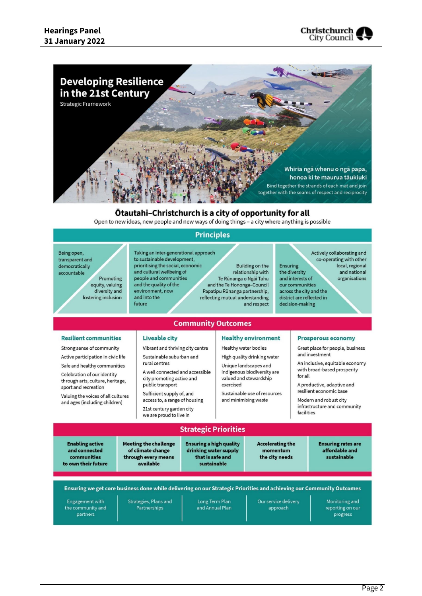



#### Otautahi-Christchurch is a city of opportunity for all

Open to new ideas, new people and new ways of doing things - a city where anything is possible

#### **Principles**

Being open, transparent and democratically accountable

Promoting equity, valuing diversity and fostering inclusion

Taking an inter-generational approach to sustainable development, prioritising the social, economic and cultural wellbeing of people and communities and the quality of the environment, now and into the future

Liveable city

rural centres

public transport

Vibrant and thriving city centre

A well connected and accessible

Sustainable suburban and

city promoting active and

Sufficient supply of, and

21st century garden city

access to, a range of housing

**Building on the** relationship with Te Rūnanga o Ngāi Tahu and the Te Hononga-Council Papatipu Rūnanga partnership, reflecting mutual understanding and respect

Actively collaborating and co-operating with other Ensuring local, regional the diversity and national and interests of organisations our communities across the city and the district are reflected in decision-making

# **Community Outcomes**

#### **Resilient communities**

Strong sense of community

Active participation in civic life Safe and healthy communities

Celebration of our identity through arts, culture, heritage, sport and recreation

Valuing the voices of all cultures and ages (including children)

#### **Healthy environment**

Healthy water bodies

High quality drinking water Unique landscapes and

indigenous biodiversity are valued and stewardship exercised

Sustainable use of resources and minimising waste

#### **Prosperous economy**

Great place for people, business and investment

An inclusive, equitable economy with broad-based prosperity for all

A productive, adaptive and resilient economic base

Modern and robust city infrastructure and community facilities

#### we are proud to live in **Strategic Priorities Meeting the challenge Ensuring a high quality Accelerating the Enabling active Ensuring rates are** and connected of climate change drinking water supply momentum affordable and that is safe and sustainable communities through every means the city needs available sustainable to own their future Ensuring we get core business done while delivering on our Strategic Priorities and achieving our Community Outcomes Strategies, Plans and Long Term Plan Monitoring and Our service delivery Engagement with and Annual Plan reporting on our the community and Partnerships approach partners progress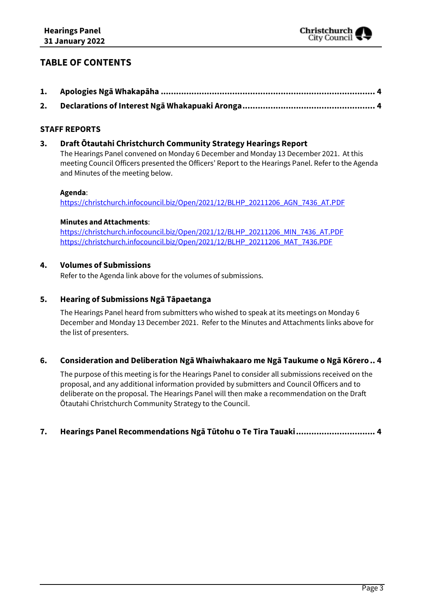# **TABLE OF CONTENTS**

### **STAFF REPORTS**

### **3. Draft Ōtautahi Christchurch Community Strategy Hearings Report**

The Hearings Panel convened on Monday 6 December and Monday 13 December 2021. At this meeting Council Officers presented the Officers' Report to the Hearings Panel. Refer to the Agenda and Minutes of the meeting below.

#### **Agenda**:

[https://christchurch.infocouncil.biz/Open/2021/12/BLHP\\_20211206\\_AGN\\_7436\\_AT.PDF](https://christchurch.infocouncil.biz/Open/2021/12/BLHP_20211206_AGN_7436_AT.PDF)

#### **Minutes and Attachments**:

[https://christchurch.infocouncil.biz/Open/2021/12/BLHP\\_20211206\\_MIN\\_7436\\_AT.PDF](https://christchurch.infocouncil.biz/Open/2021/12/BLHP_20211206_MIN_7436_AT.PDF) [https://christchurch.infocouncil.biz/Open/2021/12/BLHP\\_20211206\\_MAT\\_7436.PDF](https://christchurch.infocouncil.biz/Open/2021/12/BLHP_20211206_MAT_7436.PDF)

#### **4. Volumes of Submissions**

Refer to the Agenda link above for the volumes of submissions.

#### **5. Hearing of Submissions Ngā Tāpaetanga**

The Hearings Panel heard from submitters who wished to speak at its meetings on Monday 6 December and Monday 13 December 2021. Refer to the Minutes and Attachments links above for the list of presenters.

#### **6. Consideration and Deliberation Ngā Whaiwhakaaro me Ngā Taukume o Ngā Kōrero.. [4](#page-3-2)**

The purpose of this meeting is for the Hearings Panel to consider all submissions received on the proposal, and any additional information provided by submitters and Council Officers and to deliberate on the proposal. The Hearings Panel will then make a recommendation on the Draft Ōtautahi Christchurch Community Strategy to the Council.

### **7. Hearings Panel Recommendations Ngā Tūtohu o Te Tira Tauaki............................... [4](#page-3-2)**